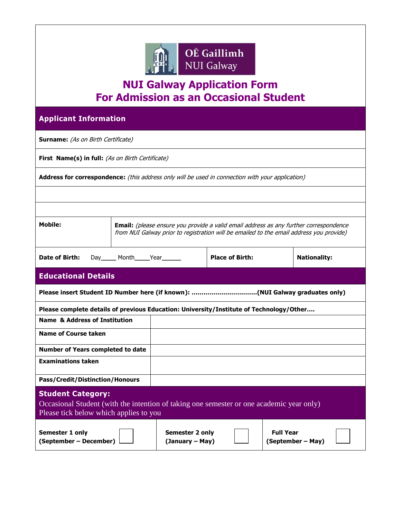

## **NUI Galway Application Form For Admission as an Occasional Student**

| <b>Applicant Information</b>                                                                                                                                                                       |                                    |                        |                  |                     |  |
|----------------------------------------------------------------------------------------------------------------------------------------------------------------------------------------------------|------------------------------------|------------------------|------------------|---------------------|--|
| <b>Surname:</b> (As on Birth Certificate)                                                                                                                                                          |                                    |                        |                  |                     |  |
| First Name(s) in full: (As on Birth Certificate)                                                                                                                                                   |                                    |                        |                  |                     |  |
| Address for correspondence: (this address only will be used in connection with your application)                                                                                                   |                                    |                        |                  |                     |  |
|                                                                                                                                                                                                    |                                    |                        |                  |                     |  |
|                                                                                                                                                                                                    |                                    |                        |                  |                     |  |
| Mobile:<br><b>Email:</b> (please ensure you provide a valid email address as any further correspondence<br>from NUI Galway prior to registration will be emailed to the email address you provide) |                                    |                        |                  |                     |  |
| <b>Date of Birth:</b><br>Day______ Month_____Year______                                                                                                                                            |                                    | <b>Place of Birth:</b> |                  | <b>Nationality:</b> |  |
| <b>Educational Details</b>                                                                                                                                                                         |                                    |                        |                  |                     |  |
| Please insert Student ID Number here (if known): (NUI Galway graduates only)                                                                                                                       |                                    |                        |                  |                     |  |
| Please complete details of previous Education: University/Institute of Technology/Other                                                                                                            |                                    |                        |                  |                     |  |
| <b>Name &amp; Address of Institution</b>                                                                                                                                                           |                                    |                        |                  |                     |  |
| <b>Name of Course taken</b>                                                                                                                                                                        |                                    |                        |                  |                     |  |
| <b>Number of Years completed to date</b>                                                                                                                                                           |                                    |                        |                  |                     |  |
| <b>Examinations taken</b>                                                                                                                                                                          |                                    |                        |                  |                     |  |
| <b>Pass/Credit/Distinction/Honours</b>                                                                                                                                                             |                                    |                        |                  |                     |  |
| <b>Student Category:</b><br>Occasional Student (with the intention of taking one semester or one academic year only)<br>Please tick below which applies to you                                     |                                    |                        |                  |                     |  |
| Semester 1 only<br>(September - December)                                                                                                                                                          | Semester 2 only<br>(January – May) |                        | <b>Full Year</b> | (September – May)   |  |